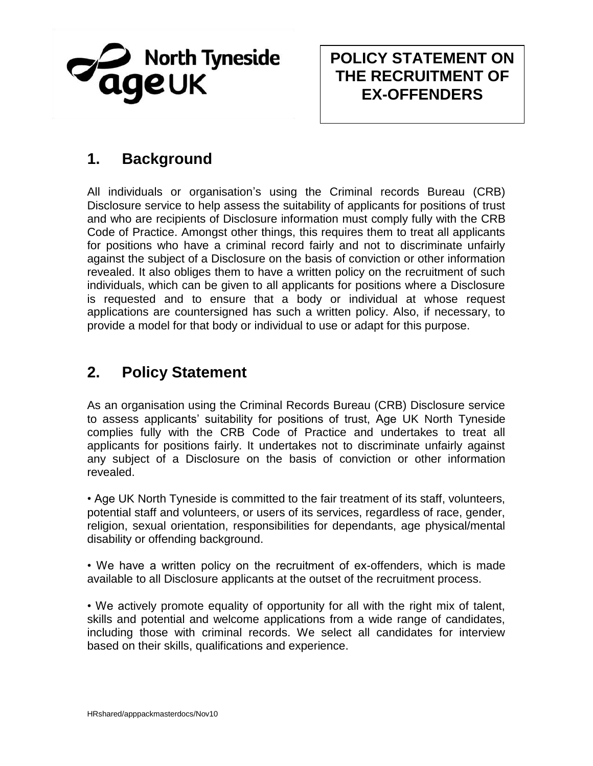

## **POLICY STATEMENT ON THE RECRUITMENT OF EX-OFFENDERS**

## **1. Background**

All individuals or organisation's using the Criminal records Bureau (CRB) Disclosure service to help assess the suitability of applicants for positions of trust and who are recipients of Disclosure information must comply fully with the CRB Code of Practice. Amongst other things, this requires them to treat all applicants for positions who have a criminal record fairly and not to discriminate unfairly against the subject of a Disclosure on the basis of conviction or other information revealed. It also obliges them to have a written policy on the recruitment of such individuals, which can be given to all applicants for positions where a Disclosure is requested and to ensure that a body or individual at whose request applications are countersigned has such a written policy. Also, if necessary, to provide a model for that body or individual to use or adapt for this purpose.

## **2. Policy Statement**

As an organisation using the Criminal Records Bureau (CRB) Disclosure service to assess applicants' suitability for positions of trust, Age UK North Tyneside complies fully with the CRB Code of Practice and undertakes to treat all applicants for positions fairly. It undertakes not to discriminate unfairly against any subject of a Disclosure on the basis of conviction or other information revealed.

• Age UK North Tyneside is committed to the fair treatment of its staff, volunteers, potential staff and volunteers, or users of its services, regardless of race, gender, religion, sexual orientation, responsibilities for dependants, age physical/mental disability or offending background.

• We have a written policy on the recruitment of ex-offenders, which is made available to all Disclosure applicants at the outset of the recruitment process.

• We actively promote equality of opportunity for all with the right mix of talent, skills and potential and welcome applications from a wide range of candidates, including those with criminal records. We select all candidates for interview based on their skills, qualifications and experience.